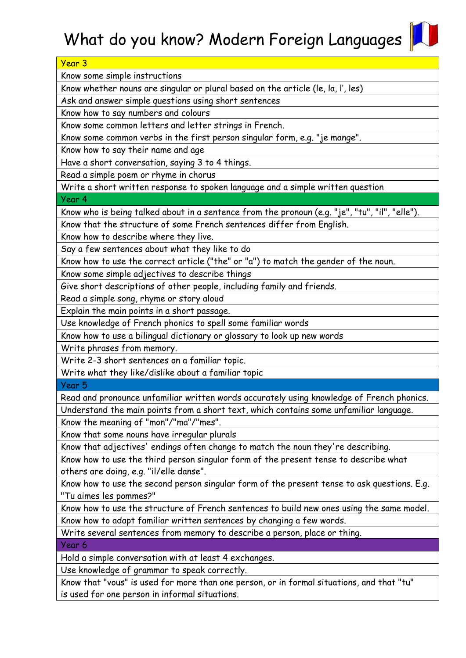

| Year 3                                                                                         |
|------------------------------------------------------------------------------------------------|
| Know some simple instructions                                                                  |
| Know whether nouns are singular or plural based on the article (le, la, I', les)               |
| Ask and answer simple questions using short sentences                                          |
| Know how to say numbers and colours                                                            |
| Know some common letters and letter strings in French.                                         |
| Know some common verbs in the first person singular form, e.g. "je mange".                     |
| Know how to say their name and age                                                             |
| Have a short conversation, saying 3 to 4 things.                                               |
| Read a simple poem or rhyme in chorus                                                          |
| Write a short written response to spoken language and a simple written question                |
| Year 4                                                                                         |
| Know who is being talked about in a sentence from the pronoun (e.g. "je", "tu", "il", "elle"). |
| Know that the structure of some French sentences differ from English.                          |
| Know how to describe where they live.                                                          |
| Say a few sentences about what they like to do                                                 |
| Know how to use the correct article ("the" or "a") to match the gender of the noun.            |
| Know some simple adjectives to describe things                                                 |
| Give short descriptions of other people, including family and friends.                         |
| Read a simple song, rhyme or story aloud                                                       |
| Explain the main points in a short passage.                                                    |
| Use knowledge of French phonics to spell some familiar words                                   |
| Know how to use a bilingual dictionary or glossary to look up new words                        |
| Write phrases from memory.                                                                     |
| Write 2-3 short sentences on a familiar topic.                                                 |
| Write what they like/dislike about a familiar topic                                            |
| Year 5                                                                                         |
| Read and pronounce unfamiliar written words accurately using knowledge of French phonics.      |
| Understand the main points from a short text, which contains some unfamiliar language.         |
| Know the meaning of "mon"/"ma"/"mes".                                                          |
| Know that some nouns have irregular plurals                                                    |
| Know that adjectives' endings often change to match the noun they're describing.               |
| Know how to use the third person singular form of the present tense to describe what           |
| others are doing, e.g. "il/elle danse".                                                        |
| Know how to use the second person singular form of the present tense to ask questions. E.g.    |
| "Tu aimes les pommes?"                                                                         |
| Know how to use the structure of French sentences to build new ones using the same model.      |
| Know how to adapt familiar written sentences by changing a few words.                          |
| Write several sentences from memory to describe a person, place or thing.                      |
| Year 6                                                                                         |
| Hold a simple conversation with at least 4 exchanges.                                          |
| Use knowledge of grammar to speak correctly.                                                   |
| Know that "vous" is used for more than one person, or in formal situations, and that "tu"      |
| is used for one person in informal situations.                                                 |
|                                                                                                |